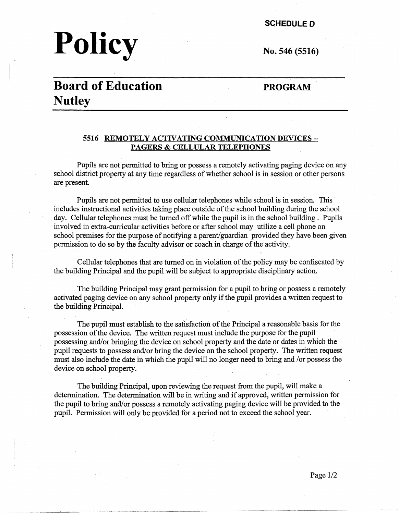# **Policy**

**SCHEDULE D** 

**No. 546 (5516)** 

## **Board of Education Nutley**

#### **PROGRAM**

#### **5516 REMOTELY ACTIVATING COMMUNICATION DEVICES** - **PAGERS & CELLULAR TELEPHONES**

Pupils are not permitted to bring or possess a remotely activating paging device on any school district property at any time regardless of whether school is in session or other persons are present.

Pupils are not permitted to use cellular telephones while school is in session. This includes instructional activities taking place outside of the school building during the school day. Cellular telephones must be turned off while the pupil is in the school building. Pupils involved in extra-curricular activities before or after school may utilize a cell phone on school premises for the purpose of notifying a parent/guardian provided they have been given permission to do so by the faculty advisor or coach in charge of the activity.

Cellular telephones that are turned on in violation of the policy may be confiscated by the building Principal and the pupil will be subject to appropriate disciplinary action.

The building Principal may grant permission for a pupil to bring or possess a remotely activated paging device on any school property only if the pupil provides a written request to the building Principal.

The pupil must establish to the satisfaction of the Principal a reasonable basis for the possession of the device. The written request must include the purpose for the pupil possessing and/or bringing the device on school property and the date or dates in which the pupil requests to possess and/or bring the device on the school property. The written request must also include the date in which the pupil will no longer need to bring and /or possess the device on school property.

The building Principal, upon reviewing the request from the pupil, will make a determination. The determination will be in writing and if approved, written permission for the pupil to bring and/or possess a remotely activating paging device will be provided to the pupil. Permission will only be provided for a period not to exceed the school year.

--- - ·----~---- ~---